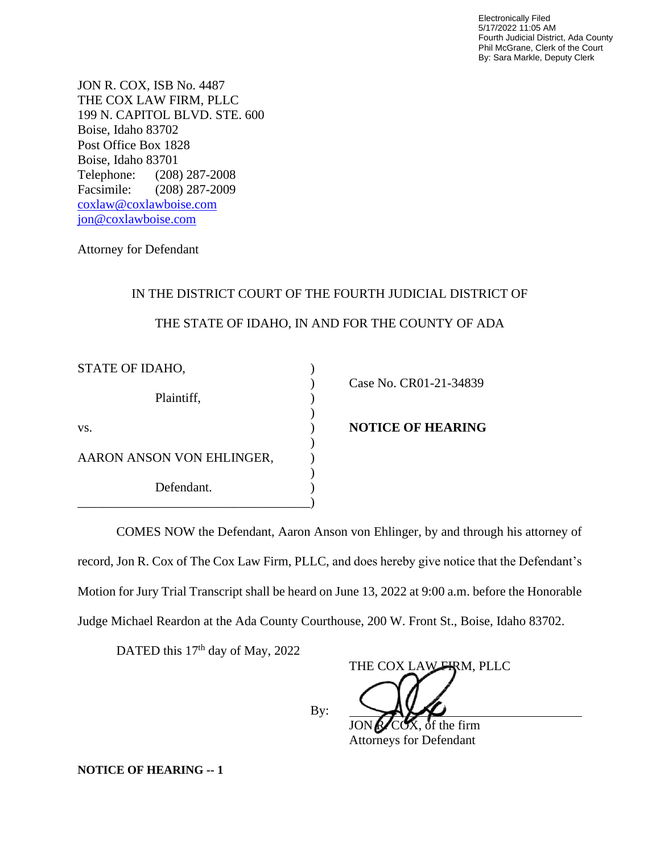Electronically Filed 5/17/2022 11:05 AM Fourth Judicial District, Ada County Phil McGrane, Clerk of the Court By: Sara Markle, Deputy Clerk

JON R. COX, ISB No. 4487 THE COX LAW FIRM, PLLC 199 N. CAPITOL BLVD. STE. 600 Boise, Idaho 83702 Post Office Box 1828 Boise, Idaho 83701 Telephone: (208) 287-2008 Facsimile: (208) 287-2009 [coxlaw@coxlawboise.com](mailto:coxlaw@coxlawboise.com) jon@coxlawboise.com

Attorney for Defendant

## IN THE DISTRICT COURT OF THE FOURTH JUDICIAL DISTRICT OF

## THE STATE OF IDAHO, IN AND FOR THE COUNTY OF ADA

| STATE OF IDAHO,           |                          |
|---------------------------|--------------------------|
|                           | Case No. CR01-21-34839   |
| Plaintiff,                |                          |
| VS.                       | <b>NOTICE OF HEARING</b> |
|                           |                          |
| AARON ANSON VON EHLINGER, |                          |
|                           |                          |
| Defendant.                |                          |
|                           |                          |

COMES NOW the Defendant, Aaron Anson von Ehlinger, by and through his attorney of record, Jon R. Cox of The Cox Law Firm, PLLC, and does hereby give notice that the Defendant's Motion for Jury Trial Transcript shall be heard on June 13, 2022 at 9:00 a.m. before the Honorable Judge Michael Reardon at the Ada County Courthouse, 200 W. Front St., Boise, Idaho 83702.

By:

DATED this 17<sup>th</sup> day of May, 2022

THE COX LAW FIRM, PLLC

 $COX$ , of the firm Attorneys for Defendant

**NOTICE OF HEARING -- 1**